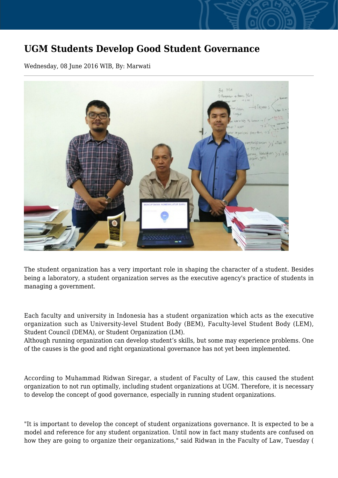## **UGM Students Develop Good Student Governance**

Wednesday, 08 June 2016 WIB, By: Marwati



The student organization has a very important role in shaping the character of a student. Besides being a laboratory, a student organization serves as the executive agency's practice of students in managing a government.

Each faculty and university in Indonesia has a student organization which acts as the executive organization such as University-level Student Body (BEM), Faculty-level Student Body (LEM), Student Council (DEMA), or Student Organization (LM).

Although running organization can develop student's skills, but some may experience problems. One of the causes is the good and right organizational governance has not yet been implemented.

According to Muhammad Ridwan Siregar, a student of Faculty of Law, this caused the student organization to not run optimally, including student organizations at UGM. Therefore, it is necessary to develop the concept of good governance, especially in running student organizations.

"It is important to develop the concept of student organizations governance. It is expected to be a model and reference for any student organization. Until now in fact many students are confused on how they are going to organize their organizations," said Ridwan in the Faculty of Law, Tuesday (